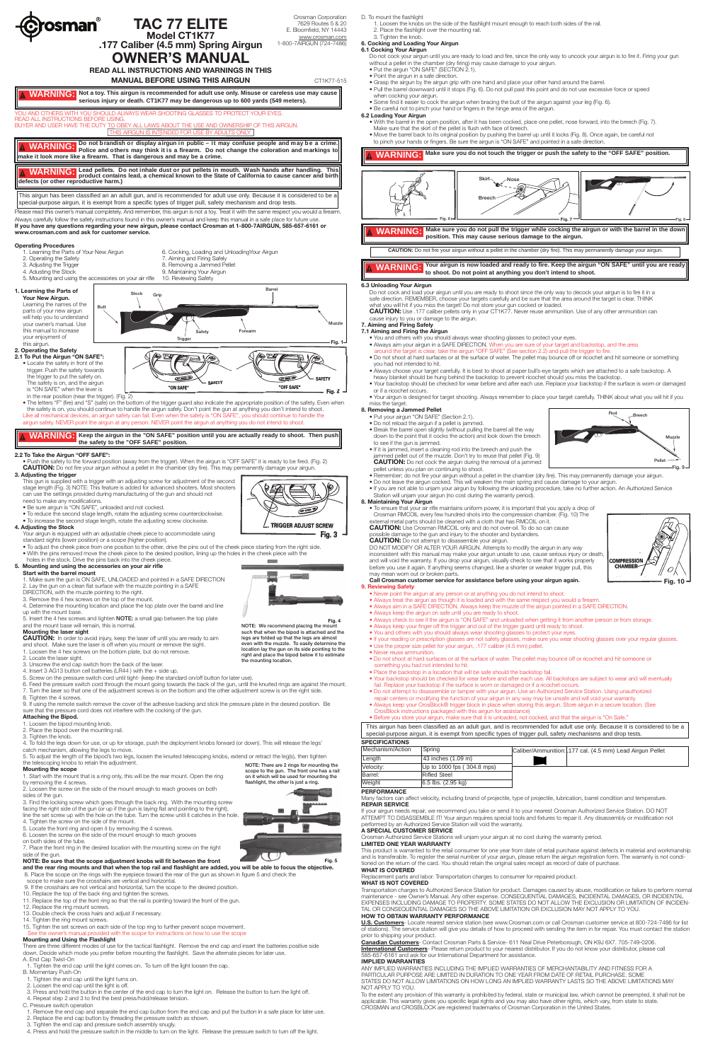

on it which will be used for mounting the flashlight, the other is just a ring.

**Fig. 5**

| Mechanism/Action | Spring                     |
|------------------|----------------------------|
| Length           | $43$ inches $(1.09$ m)     |
| Velocity:        | Up to 1000 fps (304.8 mps) |
| Barrel:          | <b>Rifled Steel</b>        |
| Weight           | $6.5$ lbs. $(2.95$ kg)     |



- such that when the bipod is attached and the legs are folded up that the legs are almost even with the muzzle. To easily determine the location lay the gun on its side pointing to the right and place the bipod below it to estimate the mounting location.
- 
- 5. Screw on the pressure switch cord until tight- (keep the standard on/off button for later use).
- 8. Tighten the 4 screws.
- sure that the pressure cord does not interfere with the cocking of the gun.

- -
- 

NOTE: There are 2 rings for mounting the scope to the gun. The front one has a rail 5. To adjust the length of the bipod's two legs, loosen the knurled telescoping knobs, extend or retract the leg(s), then tighten the telescoping knobs to retain the adjustment.

There are three different modes of use for the tactical flashlight. Remove the end cap and insert the batteries positive side down. Decide which mode you prefer before mounting the flashlight. Save the alternate pieces for later use

- **Mounting the laser sight**
- 
- **CAUTION:** In order to avoid injury, keep the laser off until you are ready to aim and shoot. Make sure the laser is off when you mount or remove the sight.
- 1. Loosen the 4 hex screws on the bottom plate, but do not remove.
- 2. Locate the laser sight.
- 3. Unscrew the end cap switch from the back of the laser.
- 4. Insert 3 AG13 button cell batteries (LR44 ) with the + side up.
- 
- 6. Feed the pressure switch cord through the mount going towards the back of the gun, until the knurled rings are against the mount. 7. Turn the laser so that one of the adjustment screws is on the bottom and the other adjustment screw is on the right side.

9. If using the remote switch remove the cover of the adhesive backing and stick the pressure plate in the desired position. Be

## **Attaching the Bipod.**

- 1. Loosen the bipod mounting knob.
- 2. Place the bipod over the mounting rail.
- 

3. Tighten the knob.

4. To fold the legs down for use, or up for storage, push the deployment knobs forward (or down). This will release the legs' catch mechanism, allowing the legs to move.

#### **Mounting the scope**

1. Start with the mount that is a ring only, this will be the rear mount. Open the ring by removing the 4 screws.

2. Loosen the screw on the side of the mount enough to reach grooves on both sides of the gun.

3. Find the locking screw which goes through the back ring. With the mounting screw facing the right side of the gun (or up if the gun is laying flat and pointing to the right), line the set screw up with the hole on the tube. Turn the screw until it catches in the hole.

4. Tighten the screw on the side of the mount.

5. Locate the front ring and open it by removing the 4 screws.

6. Loosen the screw on the side of the mount enough to reach grooves on both sides of the tube.

7. Place the front ring in the desired location with the mounting screw on the right side of the gun.

#### **NOTE: Be sure that the scope adjustment knobs will fit between the front**

# and the rear ring mounts and that when the top rail and flashlight are added, you will be able to focus the objective.<br>8. Place the scope on the rings with the eyepiece toward the rear of the gun as shown in figure 5 and c

scope to make sure the crosshairs are vertical and horizontal.

- 9. If the crosshairs are not vertical and horizontal, turn the scope to the desired position.
- 10. Replace the top of the back ring and tighten the screws.
- 11. Replace the top of the front ring so that the rail is pointing toward the front of the gun.
- 12. Replace the ring mount screws.
- 13. Double check the cross hairs and adjust if necessary.
- 14. Tighten the ring mount screws.
- 15. Tighten the set screws on each side of the top ring to further prevent scope movement. See the owner's manual provided with the scope for instructions on how to use the scope

#### **Mounting and Using the Flashlight**

Transportation charges to Authorized Service Station for product. Damages caused by abuse, modification or failure to perform normal maintenance - see Owner's Manual. Any other expense. CONSEQUENTIAL DAMAGES, INCIDENTAL DAMAGES, OR INCIDENTAL EXPENSES INCLUDING DAMAGE TO PROPERTY. SOME STATES DO NOT ALLOW THE EXCLUSION OR LIMITATION OF INCIDEN-<br>TAL OR CONSEQUENTIAL DAMAGES SO THE ABOVE LIMITATION OR EXCLUSION MAY NOT APPLY TO YOU.

- A. End Cap Twist-On
- 1. Tighten the end cap until the light comes on. To turn off the light loosen the cap.
- B. Momentary Push-On
- 1. Tighten the end cap until the light turns on.
- 2. Loosen the end cap until the light is off.
- 3. Press and hold the button in the center of the end cap to turn the light on. Release the button to turn the light off. 4. Repeat step 2 and 3 to find the best press/hold/release tension.
- C. Pressure switch operation
- 1. Remove the end cap and separate the end cap button from the end cap and put the button in a safe place for later use.
- 2. Replace the end cap button by threading the pressure switch as shown.
- 3. Tighten the end cap and pressure switch assembly snugly.
- 4. Press and hold the pressure switch in the middle to turn on the light. Release the pressure switch to turn off the light.

**Canadian Customers**- Contact Crosman Parts & Service- 611 Neal Drive Peterborough, ON K9J 6X7. 705-749-0206. **International Customers**- Please return product to your nearest distributor. If you do not know your distributor, please call<br>585-657-6161 and ask for our International Department for assistance.





- Do not shoot at hard surfaces or at the surface of water. The pellet may bounce off or ricochet and hit someone or something
- 
- Your airgun is designed for target shooting. Always remember to place your target carefully. THINK about what you will hit if you

• If you are not able to unjam your airgun by following the unloading procedure, take no further action. An Authorized Service

- Always keep your finger off the trigger and out of the trigger guard until ready to shoot.
- You and others with you should always wear shooting glasses to protect your eyes.
- If your reading or prescription glasses are not safety glasses, make sure you wear shooting glasses over your regular glasses. • Use the proper size pellet for your airgun, .177 caliber (4.5 mm) pellet.
- Never reuse ammunition.
- Do not shoot at hard surfaces or at the surface of water. The pellet may bounce off or ricochet and hit someone or
- something you had not intended to hit.
- Place the backstop in a location that will be safe should the backstop fail. • Your backstop should be checked for wear before and after each use. All backstops are subject to wear and will eventually
- fail. Replace your backstop if the surface is worn or damaged or if a ricochet occurs.
- Do not attempt to disassemble or tamper with your airgun. Use an Authorized Service Station. Using unauthorized
- repair centers or modifying the function of your airgun in any way may be unsafe and will void your warranty. • Always keep your CrosBlock® trigger block in place when storing this airgun. Store airgun in a secure location. (See
- CrosBlock instructions packaged with this airgun for assistance) • Before you store your airgun, make sure that it is unloaded, not cocked, and that the airgun is "On Safe."

## **SPECIFICATIONS**

#### **PERFORMANCE**

Many factors can affect velocity, including brand of projectile, type of projectile, lubrication, barrel condition and temperature.

#### **REPAIR SERVICE**

If your airgun needs repair, we recommend you take or send it to your nearest Crosman Authorized Service Station. DO NOT ATTEMPT TO DISASSEMBLE IT! Your airgun requires special tools and fixtures to repair it. Any disassembly or modification not performed by an Authorized Service Station will void the warranty.

# **A SPECIAL CUSTOMER SERVICE**

Crosman Authorized Service Stations will unjam your airgun at no cost during the warranty period.

#### **LIMITED ONE YEAR WARRANTY**

This product is warranted to the retail consumer for one year from date of retail purchase against defects in material and workmanship and is transferable. To register the serial number of your airgun, please return the airgun registration form. The warranty is not conditioned on the return of the card. You should retain the original sales receipt as record of date of purchase.

#### **WHAT IS COVERED**

cement parts and labor. Transportation charges to consumer for repaired product.

#### **WHAT IS NOT COVERED**

### **HOW TO OBTAIN WARRANTY PERFORMANCE**

**U.S. Customers**- Locate nearest service station (see www.Crosman.com or call Crosman customer service at 800-724-7486 for list of stations). The service station will give you details of how to proceed with sending the item in for repair. You must contact the station prior to shipping your product.

#### **IMPLIED WARRANTIES**

ANY IMPLIED WARRANTIES INCLUDING THE IMPLIED WARRANTIES OF MERCHANTABILITY AND FITNESS FOR A PARTICULAR PURPOSE ARE LIMITED IN DURATION TO ONE YEAR FROM DATE OF RETAIL PURCHASE. SOME STATES DO NOT ALLOW LIMITATIONS ON HOW LONG AN IMPLIED WARRANTY LASTS SO THE ABOVE LIMITATIONS MAY NOT APPLY TO YOU.

To the extent any provision of this warranty is prohibited by federal, state or municipal law, which cannot be preempted, it shall not be applicable. This warranty gives you specific legal rights and you may also have other rights, which vary, from state to state. CROSMAN and CROSBLOCK are registered trademarks of Crosman Corporation in the United States.



This airgun has been classified as an adult gun, and is recommended for adult use only. Because it is considered to be a special-purpose airgun, it is exempt from specific types of trigger pull, safety mechanisms and drop tests.